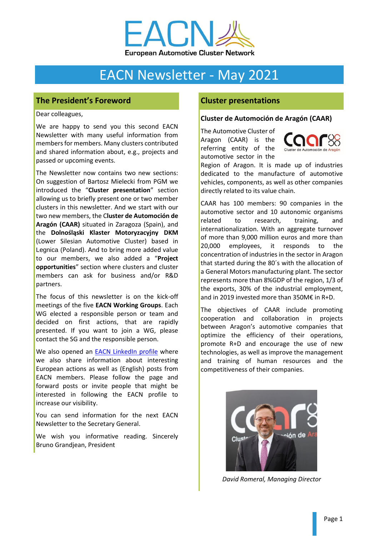

# EACN Newsletter - May 2021

## **The President's Foreword**

Dear colleagues,

We are happy to send you this second EACN Newsletter with many useful information from members for members. Many clusters contributed and shared information about, e.g., projects and passed or upcoming events.

The Newsletter now contains two new sections: On suggestion of Bartosz Mielecki from PGM we introduced the "**Cluster presentation**" section allowing us to briefly present one or two member clusters in this newsletter. And we start with our two new members, the C**luster de Automoción de Aragón (CAAR)** situated in Zaragoza (Spain), and the **Dolnośląski Klaster Motoryzacyjny DKM** (Lower Silesian Automotive Cluster) based in Legnica (Poland). And to bring more added value to our members, we also added a "**Project opportunities**" section where clusters and cluster members can ask for business and/or R&D partners.

The focus of this newsletter is on the kick-off meetings of the five **EACN Working Groups**. Each WG elected a responsible person or team and decided on first actions, that are rapidly presented. If you want to join a WG, please contact the SG and the responsible person.

We also opened an [EACN LinkedIn profile](https://www.linkedin.com/company/eacn/) where we also share information about interesting European actions as well as (English) posts from EACN members. Please follow the page and forward posts or invite people that might be interested in following the EACN profile to increase our visibility.

You can send information for the next EACN Newsletter to the Secretary General.

We wish you informative reading. Sincerely Bruno Grandjean, President

## **Cluster presentations**

#### **Cluster de Automoción de Aragón (CAAR)**

The Automotive Cluster of Aragon (CAAR) is the referring entity of the automotive sector in the



Region of Aragon. It is made up of industries dedicated to the manufacture of automotive vehicles, components, as well as other companies directly related to its value chain.

CAAR has 100 members: 90 companies in the automotive sector and 10 autonomic organisms related to research, training, and internationalization. With an aggregate turnover of more than 9,000 million euros and more than 20,000 employees, it responds to the concentration of industries in the sector in Aragon that started during the 80´s with the allocation of a General Motors manufacturing plant. The sector represents more than 8%GDP of the region, 1/3 of the exports, 30% of the industrial employment, and in 2019 invested more than 350M€ in R+D.

The objectives of CAAR include promoting cooperation and collaboration in projects between Aragon's automotive companies that optimize the efficiency of their operations, promote R+D and encourage the use of new technologies, as well as improve the management and training of human resources and the competitiveness of their companies.



*David Romeral, Managing Director*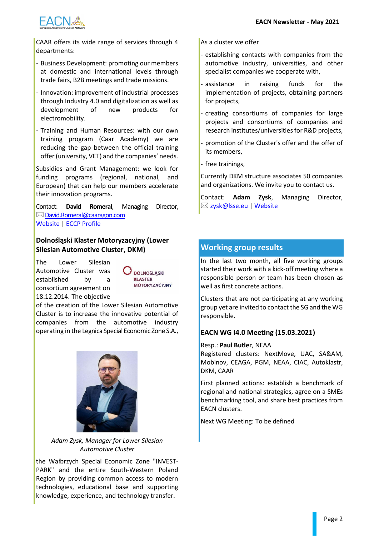

CAAR offers its wide range of services through 4 departments:

- Business Development: promoting our members at domestic and international levels through trade fairs, B2B meetings and trade missions.
- Innovation: improvement of industrial processes through Industry 4.0 and digitalization as well as development of new products for electromobility.
- Training and Human Resources: with our own training program (Caar Academy) we are reducing the gap between the official training offer (university, VET) and the companies' needs.

Subsidies and Grant Management: we look for funding programs (regional, national, and European) that can help our members accelerate their innovation programs.

Contact: **David Romeral**, Managing Director,  $\boxtimes$  [David.Romeral@caaragon.com](mailto:David.Romeral@caaragon.com) [Website](https://caaragon.com/en/caar-en/) | ECCP [Profile](https://clustercollaboration.eu/cluster-organisations/metallkunststoffdialog?pk_vid=49c6e75940f75dba1614067668f3ba98)

#### **Dolnośląski Klaster Motoryzacyjny (Lower Silesian Automotive Cluster, DKM)**

The Lower Silesian Automotive Cluster was established by a consortium agreement on 18.12.2014. The objective



of the creation of the Lower Silesian Automotive Cluster is to increase the innovative potential of companies from the automotive industry operating in the Legnica Special Economic Zone S.A.,



*Adam Zysk, Manager for Lower Silesian Automotive Cluster*

the Wałbrzych Special Economic Zone "INVEST-PARK" and the entire South-Western Poland Region by providing common access to modern technologies, educational base and supporting knowledge, experience, and technology transfer.

As a cluster we offer

- establishing contacts with companies from the automotive industry, universities, and other specialist companies we cooperate with,
- assistance in raising funds for the implementation of projects, obtaining partners for projects,
- creating consortiums of companies for large projects and consortiums of companies and research institutes/universities for R&D projects,
- promotion of the Cluster's offer and the offer of its members,
- free trainings,

Currently DKM structure associates 50 companies and organizations. We invite you to contact us.

Contact: **Adam Zysk**, Managing Director, ⊠ [zysk@lsse.eu](mailto:zysk@lsse.eu) [| Website](https://lsse.eu/opal_portfolio/dolnoslaski-klaster-motoryzacyjny/)

## **Working group results**

In the last two month, all five working groups started their work with a kick-off meeting where a responsible person or team has been chosen as well as first concrete actions.

Clusters that are not participating at any working group yet are invited to contact the SG and the WG responsible.

## **EACN WG I4.0 Meeting (15.03.2021)**

#### Resp.: **Paul Butler**, NEAA

Registered clusters: NextMove, UAC, SA&AM, Mobinov, CEAGA, PGM, NEAA, CIAC, Autoklastr, DKM, CAAR

First planned actions: establish a benchmark of regional and national strategies, agree on a SMEs benchmarking tool, and share best practices from EACN clusters.

Next WG Meeting: To be defined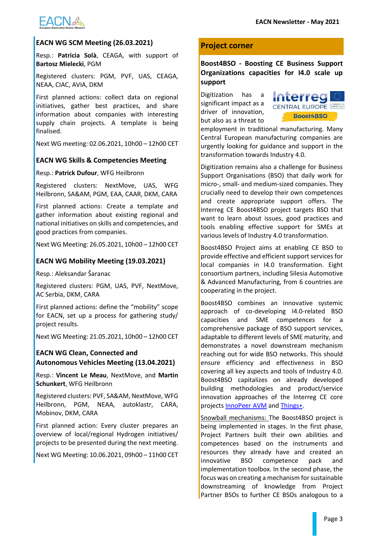

#### **EACN WG SCM Meeting (26.03.2021)**

Resp.: **Patricia Solà**, CEAGA, with support of **Bartosz Mielecki**, PGM

Registered clusters: PGM, PVF, UAS, CEAGA, NEAA, CIAC, AVIA, DKM

First planned actions: collect data on regional initiatives, gather best practices, and share information about companies with interesting supply chain projects. A template is being finalised.

Next WG meeting: 02.06.2021, 10h00 – 12h00 CET

#### **EACN WG Skills & Competencies Meeting**

Resp.: **Patrick Dufour**, WFG Heilbronn

Registered clusters: NextMove, UAS, WFG Heilbronn, SA&AM, PGM, EAA, CAAR, DKM, CARA

First planned actions: Create a template and gather information about existing regional and national initiatives on skills and competencies, and good practices from companies.

Next WG Meeting: 26.05.2021, 10h00 – 12h00 CET

## **EACN WG Mobility Meeting (19.03.2021)**

Resp.: Aleksandar Šaranac

Registered clusters: PGM, UAS, PVF, NextMove, AC Serbia, DKM, CARA

First planned actions: define the "mobility" scope for EACN, set up a process for gathering study/ project results.

Next WG Meeting: 21.05.2021, 10h00 – 12h00 CET

## **EACN WG Clean, Connected and Autonomous Vehicles Meeting (13.04.2021)**

Resp.: **Vincent Le Meau**, NextMove, and **Martin Schunkert**, WFG Heilbronn

Registered clusters: PVF, SA&AM, NextMove, WFG Heilbronn, PGM, NEAA, autoklastr, CARA, Mobinov, DKM, CARA

First planned action: Every cluster prepares an overview of local/regional Hydrogen initiatives/ projects to be presented during the next meeting.

Next WG Meeting: 10.06.2021, 09h00 – 11h00 CET

## **Project corner**

## **Boost4BSO - Boosting CE Business Support Organizations capacities for I4.0 scale up support**

Digitization has a significant impact as a driver of innovation, but also as a threat to



employment in traditional manufacturing. Many Central European manufacturing companies are urgently looking for guidance and support in the transformation towards Industry 4.0.

Digitization remains also a challenge for Business Support Organisations (BSO) that daily work for micro-, small- and medium-sized companies. They crucially need to develop their own competences and create appropriate support offers. The Interreg CE Boost4BSO project targets BSO that want to learn about issues, good practices and tools enabling effective support for SMEs at various levels of Industry 4.0 transformation.

Boost4BSO Project aims at enabling CE BSO to provide effective and efficient support services for local companies in I4.0 transformation. Eight consortium partners, including Silesia Automotive & Advanced Manufacturing, from 6 countries are cooperating in the project.

Boost4BSO combines an innovative systemic approach of co-developing I4.0-related BSO capacities and SME competences for a comprehensive package of BSO support services, adaptable to different levels of SME maturity, and demonstrates a novel downstream mechanism reaching out for wide BSO networks. This should ensure efficiency and effectiveness in BSO covering all key aspects and tools of Industry 4.0. Boost4BSO capitalizes on already developed building methodologies and product/service innovation approaches of the Interreg CE core projects [InnoPeer AVM](https://www.interreg-central.eu/Content.Node/InnoPeerAVM.html) and [Things+.](https://www.interreg-central.eu/Content.Node/THINGS-.html)

Snowball mechanisms: The Boost4BSO project is being implemented in stages. In the first phase, Project Partners built their own abilities and competences based on the instruments and resources they already have and created an innovative BSO competence pack and implementation toolbox. In the second phase, the focus was on creating a mechanism for sustainable downstreaming of knowledge from Project Partner BSOs to further CE BSOs analogous to a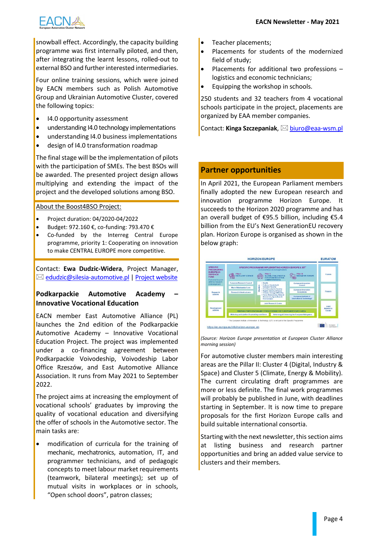

snowball effect. Accordingly, the capacity building programme was first internally piloted, and then, after integrating the learnt lessons, rolled-out to external BSO and further interested intermediaries.

Four online training sessions, which were joined by EACN members such as Polish Automotive Group and Ukrainian Automotive Cluster, covered the following topics:

- I4.0 opportunity assessment
- understanding I4.0 technology implementations
- understanding I4.0 business implementations
- design of I4.0 transformation roadmap

The final stage will be the implementation of pilots with the participation of SMEs. The best BSOs will be awarded. The presented project design allows multiplying and extending the impact of the project and the developed solutions among BSO.

#### About the Boost4BSO Project:

- Project duration: 04/2020-04/2022
- Budget: 972.160 €, co-funding: 793.470 €
- Co-funded by the Interreg Central Europe programme, priority 1: Cooperating on innovation to make CENTRAL EUROPE more competitive.

Contact: **Ewa Dudzic-Widera**, Project Manager,  $\boxtimes$  [edudzic@silesia-automotive.pl](mailto:edudzic@silesia-automotive.pl) [| Project website](https://www.interreg-central.eu/Content.Node/Boost4BSO.html)

## **Podkarpackie Automotive Academy – Innovative Vocational Education**

EACN member East Automotive Alliance (PL) launches the 2nd edition of the Podkarpackie Automotive Academy – Innovative Vocational Education Project. The project was implemented under a co-financing agreement between Podkarpackie Voivodeship, Voivodeship Labor Office Rzeszów, and East Automotive Alliance Association. It runs from May 2021 to September 2022.

The project aims at increasing the employment of vocational schools' graduates by improving the quality of vocational education and diversifying the offer of schools in the Automotive sector. The main tasks are:

modification of curricula for the training of mechanic, mechatronics, automation, IT, and programmer technicians, and of pedagogic concepts to meet labour market requirements (teamwork, bilateral meetings); set up of mutual visits in workplaces or in schools, "Open school doors", patron classes;

- Teacher placements;
- Placements for students of the modernized field of study;
- Placements for additional two professions logistics and economic technicians;
- Equipping the workshop in schools.

250 students and 32 teachers from 4 vocational schools participate in the project, placements are organized by EAA member companies.

Contact: Kinga Szczepaniak, **⊠ [biuro@eaa-wsm.pl](mailto:biuro@eaa-wsm.pl)** 

## **Partner opportunities**

In April 2021, the European Parliament members finally adopted the new European research and innovation programme Horizon Europe. It succeeds to the Horizon 2020 programme and has an overall budget of €95.5 billion, including €5.4 billion from the EU's Next GenerationEU recovery plan. Horizon Europe is organised as shown in the below graph:



*(Source: Horizon Europe presentation at European Cluster Alliance morning session)*

For automotive cluster members main interesting areas are the Pillar II: Cluster 4 (Digital, Industry & Space) and Cluster 5 (Climate, Energy & Mobility). The current circulating draft programmes are more or less definite. The final work programmes will probably be published in June, with deadlines starting in September. It is now time to prepare proposals for the first Horizon Europe calls and build suitable international consortia.

Starting with the next newsletter, this section aims at listing business and research partner opportunities and bring an added value service to clusters and their members.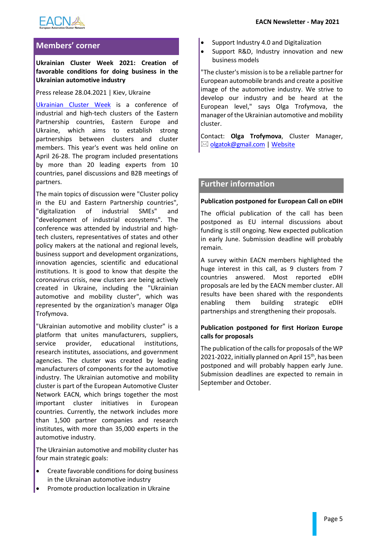

## **Members' corner**

## **Ukrainian Cluster Week 2021: Creation of favorable conditions for doing business in the Ukrainian automotive industry**

Press release 28.04.2021 | Kiev, Ukraine

[Ukrainian Cluster Week](https://industry4ukraine.net/clusterweek/) is a conference of industrial and high-tech clusters of the Eastern Partnership countries, Eastern Europe and Ukraine, which aims to establish strong partnerships between clusters and cluster members. This year's event was held online on April 26-28. The program included presentations by more than 20 leading experts from 10 countries, panel discussions and B2B meetings of partners.

The main topics of discussion were "Cluster policy in the EU and Eastern Partnership countries", "digitalization of industrial SMEs" and "development of industrial ecosystems". The conference was attended by industrial and hightech clusters, representatives of states and other policy makers at the national and regional levels, business support and development organizations, innovation agencies, scientific and educational institutions. It is good to know that despite the coronavirus crisis, new clusters are being actively created in Ukraine, including the "Ukrainian automotive and mobility cluster", which was represented by the organization's manager Olga Trofymova.

"Ukrainian automotive and mobility cluster" is a platform that unites manufacturers, suppliers, service provider, educational institutions, research institutes, associations, and government agencies. The cluster was created by leading manufacturers of components for the automotive industry. The Ukrainian automotive and mobility cluster is part of the European Automotive Cluster Network EACN, which brings together the most important cluster initiatives in European countries. Currently, the network includes more than 1,500 partner companies and research institutes, with more than 35,000 experts in the automotive industry.

The Ukrainian automotive and mobility cluster has four main strategic goals:

- Create favorable conditions for doing business in the Ukrainan automotive industry
- Promote production localization in Ukraine
- Support Industry 4.0 and Digitalization
- Support R&D, Industry innovation and new business models

"The cluster's mission is to be a reliable partner for European automobile brands and create a positive image of the automotive industry. We strive to develop our industry and be heard at the European level," says Olga Trofymova, the manager of the Ukrainian automotive and mobility cluster.

Contact: **Olga Trofymova**, Cluster Manager, ⊠ [olgatok@gmail.com](mailto:olgatok@gmail.com) | [Website](https://polevehiculedufutur.sharepoint.com/sites/EACN/Documents%20partages/EACN%202021+/Newsletter/www.qcentre.com.ua)

## **Further information**

#### **Publication postponed for European Call on eDIH**

The official publication of the call has been postponed as EU internal discussions about funding is still ongoing. New expected publication in early June. Submission deadline will probably remain.

A survey within EACN members highlighted the huge interest in this call, as 9 clusters from 7 countries answered. Most reported eDIH proposals are led by the EACN member cluster. All results have been shared with the respondents enabling them building strategic eDIH partnerships and strengthening their proposals.

#### **Publication postponed for first Horizon Europe calls for proposals**

The publication of the calls for proposals of the WP 2021-2022, initially planned on April 15<sup>th</sup>, has been postponed and will probably happen early June. Submission deadlines are expected to remain in September and October.